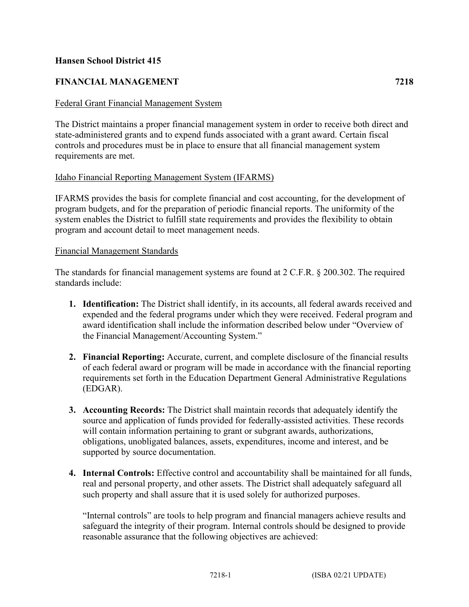## **Hansen School District 415**

# **FINANCIAL MANAGEMENT 7218**

### Federal Grant Financial Management System

The District maintains a proper financial management system in order to receive both direct and state-administered grants and to expend funds associated with a grant award. Certain fiscal controls and procedures must be in place to ensure that all financial management system requirements are met.

### Idaho Financial Reporting Management System (IFARMS)

IFARMS provides the basis for complete financial and cost accounting, for the development of program budgets, and for the preparation of periodic financial reports. The uniformity of the system enables the District to fulfill state requirements and provides the flexibility to obtain program and account detail to meet management needs.

### Financial Management Standards

The standards for financial management systems are found at 2 C.F.R. § 200.302. The required standards include:

- **1. Identification:** The District shall identify, in its accounts, all federal awards received and expended and the federal programs under which they were received. Federal program and award identification shall include the information described below under "Overview of the Financial Management/Accounting System."
- **2. Financial Reporting:** Accurate, current, and complete disclosure of the financial results of each federal award or program will be made in accordance with the financial reporting requirements set forth in the Education Department General Administrative Regulations (EDGAR).
- **3. Accounting Records:** The District shall maintain records that adequately identify the source and application of funds provided for federally-assisted activities. These records will contain information pertaining to grant or subgrant awards, authorizations, obligations, unobligated balances, assets, expenditures, income and interest, and be supported by source documentation.
- **4. Internal Controls:** Effective control and accountability shall be maintained for all funds, real and personal property, and other assets. The District shall adequately safeguard all such property and shall assure that it is used solely for authorized purposes.

"Internal controls" are tools to help program and financial managers achieve results and safeguard the integrity of their program. Internal controls should be designed to provide reasonable assurance that the following objectives are achieved: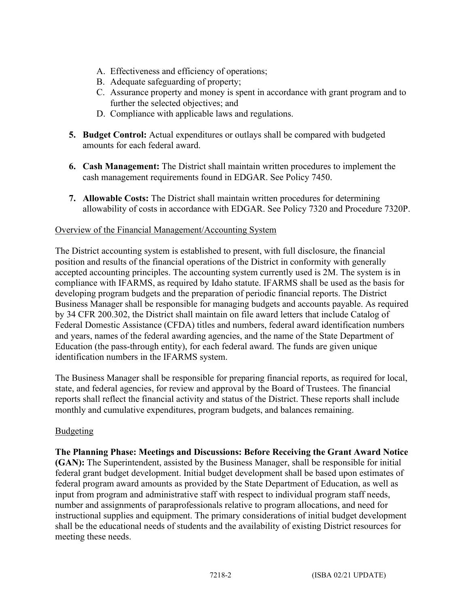- A. Effectiveness and efficiency of operations;
- B. Adequate safeguarding of property;
- C. Assurance property and money is spent in accordance with grant program and to further the selected objectives; and
- D. Compliance with applicable laws and regulations.
- **5. Budget Control:** Actual expenditures or outlays shall be compared with budgeted amounts for each federal award.
- **6. Cash Management:** The District shall maintain written procedures to implement the cash management requirements found in EDGAR. See Policy 7450.
- **7. Allowable Costs:** The District shall maintain written procedures for determining allowability of costs in accordance with EDGAR. See Policy 7320 and Procedure 7320P.

### Overview of the Financial Management/Accounting System

The District accounting system is established to present, with full disclosure, the financial position and results of the financial operations of the District in conformity with generally accepted accounting principles. The accounting system currently used is 2M. The system is in compliance with IFARMS, as required by Idaho statute. IFARMS shall be used as the basis for developing program budgets and the preparation of periodic financial reports. The District Business Manager shall be responsible for managing budgets and accounts payable. As required by 34 CFR 200.302, the District shall maintain on file award letters that include Catalog of Federal Domestic Assistance (CFDA) titles and numbers, federal award identification numbers and years, names of the federal awarding agencies, and the name of the State Department of Education (the pass-through entity), for each federal award. The funds are given unique identification numbers in the IFARMS system.

The Business Manager shall be responsible for preparing financial reports, as required for local, state, and federal agencies, for review and approval by the Board of Trustees. The financial reports shall reflect the financial activity and status of the District. These reports shall include monthly and cumulative expenditures, program budgets, and balances remaining.

### Budgeting

**The Planning Phase: Meetings and Discussions: Before Receiving the Grant Award Notice (GAN):** The Superintendent, assisted by the Business Manager, shall be responsible for initial federal grant budget development. Initial budget development shall be based upon estimates of federal program award amounts as provided by the State Department of Education, as well as input from program and administrative staff with respect to individual program staff needs, number and assignments of paraprofessionals relative to program allocations, and need for instructional supplies and equipment. The primary considerations of initial budget development shall be the educational needs of students and the availability of existing District resources for meeting these needs.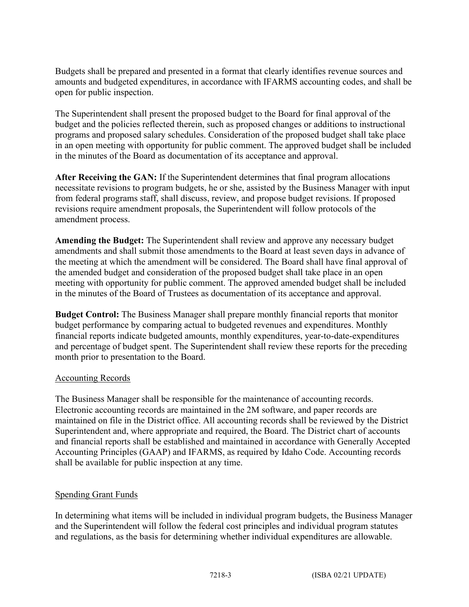Budgets shall be prepared and presented in a format that clearly identifies revenue sources and amounts and budgeted expenditures, in accordance with IFARMS accounting codes, and shall be open for public inspection.

The Superintendent shall present the proposed budget to the Board for final approval of the budget and the policies reflected therein, such as proposed changes or additions to instructional programs and proposed salary schedules. Consideration of the proposed budget shall take place in an open meeting with opportunity for public comment. The approved budget shall be included in the minutes of the Board as documentation of its acceptance and approval.

**After Receiving the GAN:** If the Superintendent determines that final program allocations necessitate revisions to program budgets, he or she, assisted by the Business Manager with input from federal programs staff, shall discuss, review, and propose budget revisions. If proposed revisions require amendment proposals, the Superintendent will follow protocols of the amendment process.

**Amending the Budget:** The Superintendent shall review and approve any necessary budget amendments and shall submit those amendments to the Board at least seven days in advance of the meeting at which the amendment will be considered. The Board shall have final approval of the amended budget and consideration of the proposed budget shall take place in an open meeting with opportunity for public comment. The approved amended budget shall be included in the minutes of the Board of Trustees as documentation of its acceptance and approval.

**Budget Control:** The Business Manager shall prepare monthly financial reports that monitor budget performance by comparing actual to budgeted revenues and expenditures. Monthly financial reports indicate budgeted amounts, monthly expenditures, year-to-date-expenditures and percentage of budget spent. The Superintendent shall review these reports for the preceding month prior to presentation to the Board.

### Accounting Records

The Business Manager shall be responsible for the maintenance of accounting records. Electronic accounting records are maintained in the 2M software, and paper records are maintained on file in the District office. All accounting records shall be reviewed by the District Superintendent and, where appropriate and required, the Board. The District chart of accounts and financial reports shall be established and maintained in accordance with Generally Accepted Accounting Principles (GAAP) and IFARMS, as required by Idaho Code. Accounting records shall be available for public inspection at any time.

### Spending Grant Funds

In determining what items will be included in individual program budgets, the Business Manager and the Superintendent will follow the federal cost principles and individual program statutes and regulations, as the basis for determining whether individual expenditures are allowable.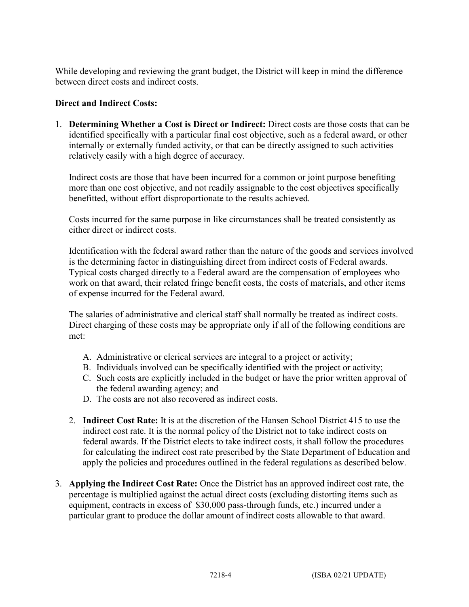While developing and reviewing the grant budget, the District will keep in mind the difference between direct costs and indirect costs.

# **Direct and Indirect Costs:**

1. **Determining Whether a Cost is Direct or Indirect:** Direct costs are those costs that can be identified specifically with a particular final cost objective, such as a federal award, or other internally or externally funded activity, or that can be directly assigned to such activities relatively easily with a high degree of accuracy.

Indirect costs are those that have been incurred for a common or joint purpose benefiting more than one cost objective, and not readily assignable to the cost objectives specifically benefitted, without effort disproportionate to the results achieved.

Costs incurred for the same purpose in like circumstances shall be treated consistently as either direct or indirect costs.

Identification with the federal award rather than the nature of the goods and services involved is the determining factor in distinguishing direct from indirect costs of Federal awards. Typical costs charged directly to a Federal award are the compensation of employees who work on that award, their related fringe benefit costs, the costs of materials, and other items of expense incurred for the Federal award.

The salaries of administrative and clerical staff shall normally be treated as indirect costs. Direct charging of these costs may be appropriate only if all of the following conditions are met:

- A. Administrative or clerical services are integral to a project or activity;
- B. Individuals involved can be specifically identified with the project or activity;
- C. Such costs are explicitly included in the budget or have the prior written approval of the federal awarding agency; and
- D. The costs are not also recovered as indirect costs.
- 2. **Indirect Cost Rate:** It is at the discretion of the Hansen School District 415 to use the indirect cost rate. It is the normal policy of the District not to take indirect costs on federal awards. If the District elects to take indirect costs, it shall follow the procedures for calculating the indirect cost rate prescribed by the State Department of Education and apply the policies and procedures outlined in the federal regulations as described below.
- 3. **Applying the Indirect Cost Rate:** Once the District has an approved indirect cost rate, the percentage is multiplied against the actual direct costs (excluding distorting items such as equipment, contracts in excess of \$30,000 pass-through funds, etc.) incurred under a particular grant to produce the dollar amount of indirect costs allowable to that award.